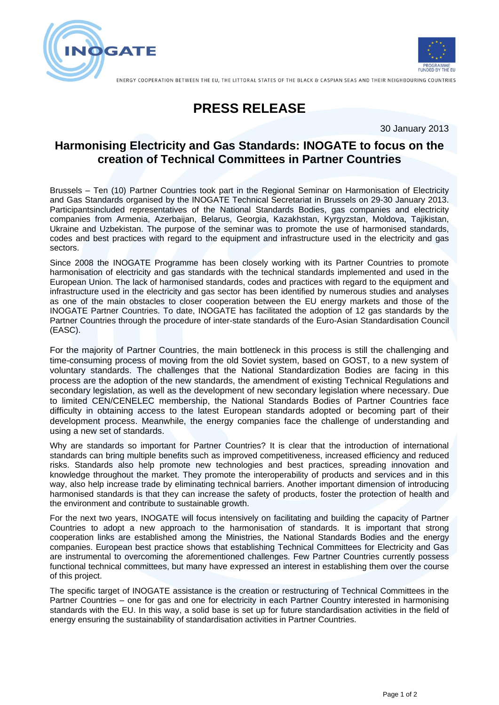



ENERGY COOPERATION BETWEEN THE EU, THE LITTORAL STATES OF THE BLACK & CASPIAN SEAS AND THEIR NEIGHBOURING COUNTRIES

## **PRESS RELEASE**

30 January 2013

## **Harmonising Electricity and Gas Standards: INOGATE to focus on the creation of Technical Committees in Partner Countries**

Brussels – Ten (10) Partner Countries took part in the Regional Seminar on Harmonisation of Electricity and Gas Standards organised by the INOGATE Technical Secretariat in Brussels on 29-30 January 2013. Participantsincluded representatives of the National Standards Bodies, gas companies and electricity companies from Armenia, Azerbaijan, Belarus, Georgia, Kazakhstan, Kyrgyzstan, Moldova, Tajikistan, Ukraine and Uzbekistan. The purpose of the seminar was to promote the use of harmonised standards, codes and best practices with regard to the equipment and infrastructure used in the electricity and gas sectors.

Since 2008 the INOGATE Programme has been closely working with its Partner Countries to promote harmonisation of electricity and gas standards with the technical standards implemented and used in the European Union. The lack of harmonised standards, codes and practices with regard to the equipment and infrastructure used in the electricity and gas sector has been identified by numerous studies and analyses as one of the main obstacles to closer cooperation between the EU energy markets and those of the INOGATE Partner Countries. To date, INOGATE has facilitated the adoption of 12 gas standards by the Partner Countries through the procedure of inter-state standards of the Euro-Asian Standardisation Council (EASC).

For the majority of Partner Countries, the main bottleneck in this process is still the challenging and time-consuming process of moving from the old Soviet system, based on GOST, to a new system of voluntary standards. The challenges that the National Standardization Bodies are facing in this process are the adoption of the new standards, the amendment of existing Technical Regulations and secondary legislation, as well as the development of new secondary legislation where necessary. Due to limited CEN/CENELEC membership, the National Standards Bodies of Partner Countries face difficulty in obtaining access to the latest European standards adopted or becoming part of their development process. Meanwhile, the energy companies face the challenge of understanding and using a new set of standards.

Why are standards so important for Partner Countries? It is clear that the introduction of international standards can bring multiple benefits such as improved competitiveness, increased efficiency and reduced risks. Standards also help promote new technologies and best practices, spreading innovation and knowledge throughout the market. They promote the interoperability of products and services and in this way, also help increase trade by eliminating technical barriers. Another important dimension of introducing harmonised standards is that they can increase the safety of products, foster the protection of health and the environment and contribute to sustainable growth.

For the next two years, INOGATE will focus intensively on facilitating and building the capacity of Partner Countries to adopt a new approach to the harmonisation of standards. It is important that strong cooperation links are established among the Ministries, the National Standards Bodies and the energy companies. European best practice shows that establishing Technical Committees for Electricity and Gas are instrumental to overcoming the aforementioned challenges. Few Partner Countries currently possess functional technical committees, but many have expressed an interest in establishing them over the course of this project.

The specific target of INOGATE assistance is the creation or restructuring of Technical Committees in the Partner Countries – one for gas and one for electricity in each Partner Country interested in harmonising standards with the EU. In this way, a solid base is set up for future standardisation activities in the field of energy ensuring the sustainability of standardisation activities in Partner Countries.